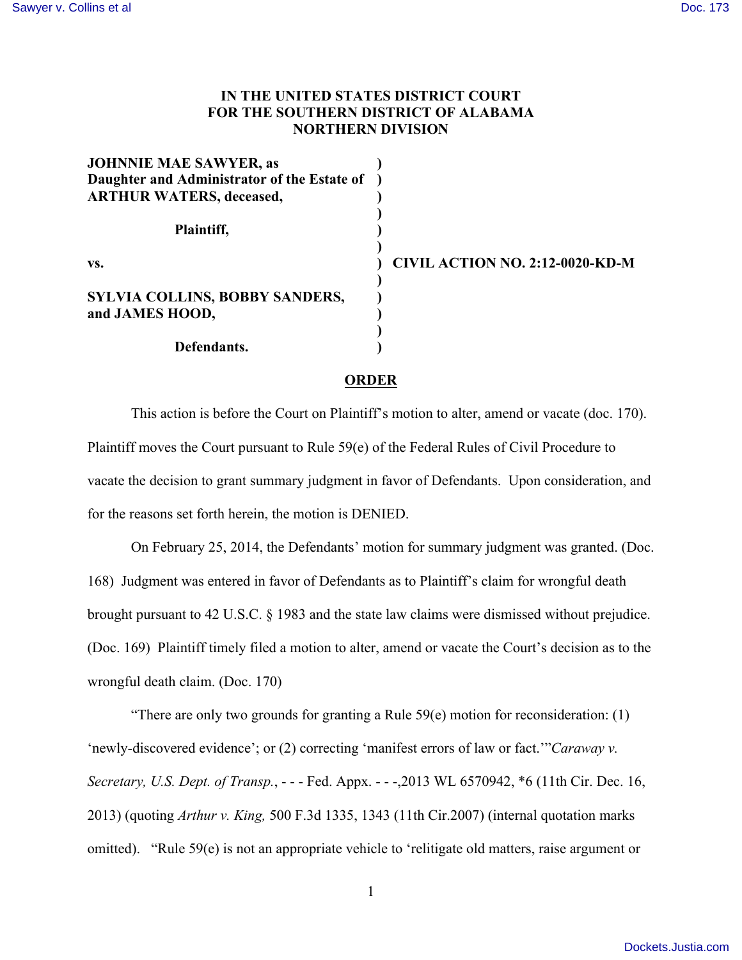## **IN THE UNITED STATES DISTRICT COURT FOR THE SOUTHERN DISTRICT OF ALABAMA NORTHERN DIVISION**

| <b>JOHNNIE MAE SAWYER, as</b><br>Daughter and Administrator of the Estate of<br><b>ARTHUR WATERS, deceased,</b> |                                        |
|-----------------------------------------------------------------------------------------------------------------|----------------------------------------|
| Plaintiff,                                                                                                      |                                        |
| VS.                                                                                                             | <b>CIVIL ACTION NO. 2:12-0020-KD-M</b> |
| SYLVIA COLLINS, BOBBY SANDERS,<br>and JAMES HOOD,                                                               |                                        |
| Defendants.                                                                                                     |                                        |

## **ORDER**

This action is before the Court on Plaintiff's motion to alter, amend or vacate (doc. 170). Plaintiff moves the Court pursuant to Rule 59(e) of the Federal Rules of Civil Procedure to vacate the decision to grant summary judgment in favor of Defendants. Upon consideration, and for the reasons set forth herein, the motion is DENIED.

On February 25, 2014, the Defendants' motion for summary judgment was granted. (Doc. 168) Judgment was entered in favor of Defendants as to Plaintiff's claim for wrongful death brought pursuant to 42 U.S.C. § 1983 and the state law claims were dismissed without prejudice. (Doc. 169) Plaintiff timely filed a motion to alter, amend or vacate the Court's decision as to the wrongful death claim. (Doc. 170)

"There are only two grounds for granting a Rule  $59(e)$  motion for reconsideration: (1) 'newly-discovered evidence'; or (2) correcting 'manifest errors of law or fact.'"*Caraway v. Secretary, U.S. Dept. of Transp.*, - - - Fed. Appx. - - -,2013 WL 6570942, \*6 (11th Cir. Dec. 16, 2013) (quoting *Arthur v. King,* 500 F.3d 1335, 1343 (11th Cir.2007) (internal quotation marks omitted). "Rule 59(e) is not an appropriate vehicle to 'relitigate old matters, raise argument or